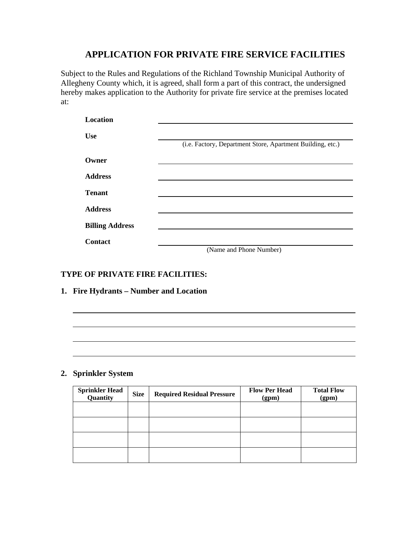Subject to the Rules and Regulations of the Richland Township Municipal Authority of Allegheny County which, it is agreed, shall form a part of this contract, the undersigned hereby makes application to the Authority for private fire service at the premises located at:

| <b>Location</b>        |                                                            |
|------------------------|------------------------------------------------------------|
| <b>Use</b>             | (i.e. Factory, Department Store, Apartment Building, etc.) |
| Owner                  |                                                            |
| <b>Address</b>         |                                                            |
| <b>Tenant</b>          |                                                            |
| <b>Address</b>         |                                                            |
| <b>Billing Address</b> |                                                            |
| <b>Contact</b>         |                                                            |
|                        | (Name and Phone Number)                                    |

### **TYPE OF PRIVATE FIRE FACILITIES:**

**1. Fire Hydrants – Number and Location** 

### **2. Sprinkler System**

| <b>Sprinkler Head<br/>Quantity</b> | <b>Size</b> | <b>Required Residual Pressure</b> | <b>Flow Per Head</b><br>(gpm) | <b>Total Flow</b><br>(gpm) |
|------------------------------------|-------------|-----------------------------------|-------------------------------|----------------------------|
|                                    |             |                                   |                               |                            |
|                                    |             |                                   |                               |                            |
|                                    |             |                                   |                               |                            |
|                                    |             |                                   |                               |                            |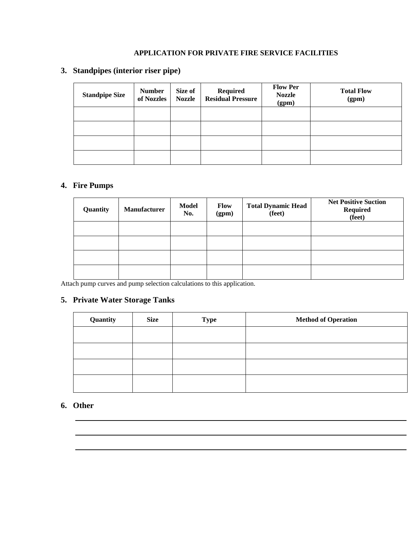## **3. Standpipes (interior riser pipe)**

| <b>Standpipe Size</b> | <b>Number</b><br>of Nozzles | Size of<br><b>Nozzle</b> | Required<br><b>Residual Pressure</b> | <b>Flow Per</b><br><b>Nozzle</b><br>(gpm) | <b>Total Flow</b><br>(gpm) |
|-----------------------|-----------------------------|--------------------------|--------------------------------------|-------------------------------------------|----------------------------|
|                       |                             |                          |                                      |                                           |                            |
|                       |                             |                          |                                      |                                           |                            |
|                       |                             |                          |                                      |                                           |                            |
|                       |                             |                          |                                      |                                           |                            |

### **4. Fire Pumps**

| Quantity | <b>Manufacturer</b> | <b>Model</b><br>No. | Flow<br>(gpm) | <b>Total Dynamic Head</b><br>(feet) | <b>Net Positive Suction</b><br><b>Required</b><br>(feet) |
|----------|---------------------|---------------------|---------------|-------------------------------------|----------------------------------------------------------|
|          |                     |                     |               |                                     |                                                          |
|          |                     |                     |               |                                     |                                                          |
|          |                     |                     |               |                                     |                                                          |
|          |                     |                     |               |                                     |                                                          |

Attach pump curves and pump selection calculations to this application.

# **5. Private Water Storage Tanks**

| Quantity | <b>Size</b> | <b>Type</b> | <b>Method of Operation</b> |
|----------|-------------|-------------|----------------------------|
|          |             |             |                            |
|          |             |             |                            |
|          |             |             |                            |
|          |             |             |                            |

## **6. Other**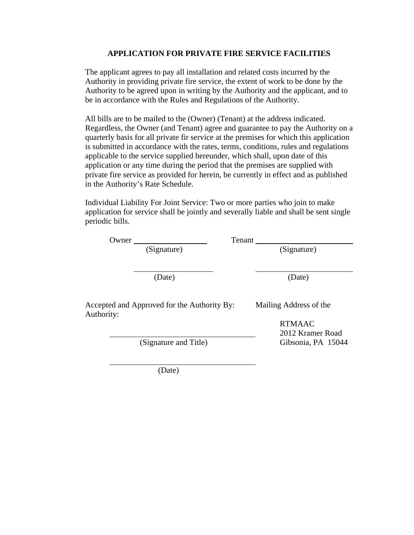The applicant agrees to pay all installation and related costs incurred by the Authority in providing private fire service, the extent of work to be done by the Authority to be agreed upon in writing by the Authority and the applicant, and to be in accordance with the Rules and Regulations of the Authority.

All bills are to be mailed to the (Owner) (Tenant) at the address indicated. Regardless, the Owner (and Tenant) agree and guarantee to pay the Authority on a quarterly basis for all private fir service at the premises for which this application is submitted in accordance with the rates, terms, conditions, rules and regulations applicable to the service supplied hereunder, which shall, upon date of this application or any time during the period that the premises are supplied with private fire service as provided for herein, be currently in effect and as published in the Authority's Rate Schedule.

Individual Liability For Joint Service: Two or more parties who join to make application for service shall be jointly and severally liable and shall be sent single periodic bills.

| Tenant                                                                |  |  |  |
|-----------------------------------------------------------------------|--|--|--|
| (Signature)                                                           |  |  |  |
|                                                                       |  |  |  |
| (Date)                                                                |  |  |  |
|                                                                       |  |  |  |
| Mailing Address of the<br>Accepted and Approved for the Authority By: |  |  |  |
| <b>RTMAAC</b>                                                         |  |  |  |
| 2012 Kramer Road                                                      |  |  |  |
| Gibsonia, PA 15044                                                    |  |  |  |
|                                                                       |  |  |  |
|                                                                       |  |  |  |

(Date)